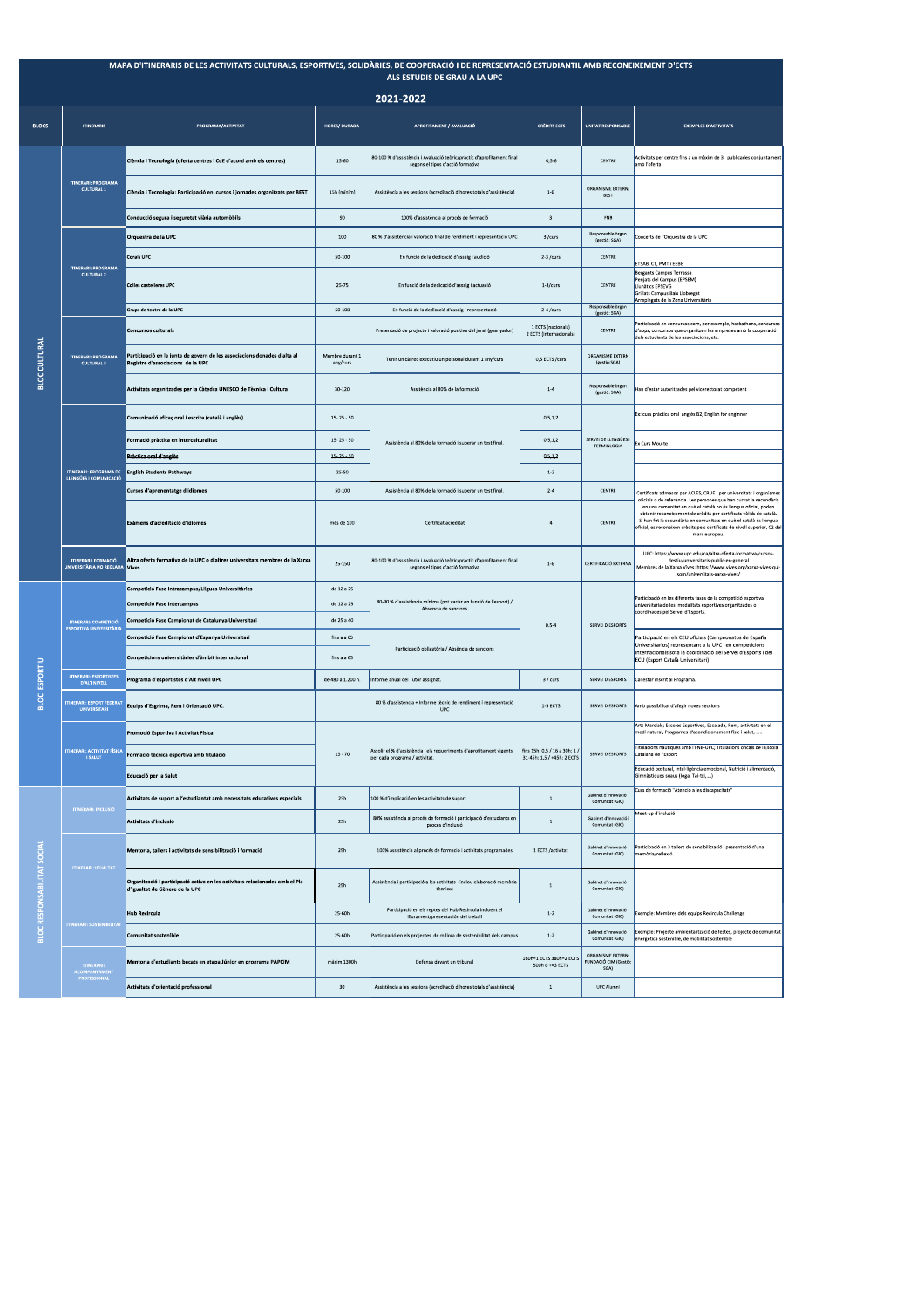| MAPA D'ITINERARIS DE LES ACTIVITATS CULTURALS, ESPORTIVES, SOLIDÀRIES, DE COOPERACIÓ I DE REPRESENTACIÓ ESTUDIANTIL AMB RECONEIXEMENT D'ECTS<br>ALS ESTUDIS DE GRAU A LA UPC |                                                                |                                                                                                                |                             |                                                                                                                                              |                                               |                                                    |                                                                                                                                                                                                                                                                                                                                                                                                                                                        |  |  |  |
|------------------------------------------------------------------------------------------------------------------------------------------------------------------------------|----------------------------------------------------------------|----------------------------------------------------------------------------------------------------------------|-----------------------------|----------------------------------------------------------------------------------------------------------------------------------------------|-----------------------------------------------|----------------------------------------------------|--------------------------------------------------------------------------------------------------------------------------------------------------------------------------------------------------------------------------------------------------------------------------------------------------------------------------------------------------------------------------------------------------------------------------------------------------------|--|--|--|
| 2021-2022                                                                                                                                                                    |                                                                |                                                                                                                |                             |                                                                                                                                              |                                               |                                                    |                                                                                                                                                                                                                                                                                                                                                                                                                                                        |  |  |  |
| <b>BLOCS</b>                                                                                                                                                                 | <b>ITINERARIS</b>                                              | PROGRAMA/ACTIVITAT                                                                                             | <b>HORES/ DURADA</b>        | APROFITAMENT / AVALUACIÓ                                                                                                                     | <b>CRÈDITS ECTS</b>                           | <b>UNITAT RESPONSABLE</b>                          | <b>EXEMPLES D'ACTIVITATS</b>                                                                                                                                                                                                                                                                                                                                                                                                                           |  |  |  |
|                                                                                                                                                                              | <b>ITINERARI: PROGRAMA</b><br><b>CULTURAL 1</b>                | Ciència i Tecnología (oferta centres i CdE d'acord amb els centres)                                            | $15 - 60$                   | 80-100 % d'assistència i Avaluació teòric/pràctic d'aprofitament final<br>segons el tipus d'acció formativa                                  | $0.5 - 6$                                     | CENTRE                                             | Activitats per centre fins a un màxim de 3. publicades conjuntament<br>amb l'oferta.                                                                                                                                                                                                                                                                                                                                                                   |  |  |  |
|                                                                                                                                                                              |                                                                | Ciència i Tecnologia: Participació en cursos i jornades organitzats per BEST                                   | 15h (mínim)                 | Assistència a les sessions (acreditació d'hores totals d'assistència)                                                                        | $1 - 6$                                       | ORGANISME EXTERN<br>BEST                           |                                                                                                                                                                                                                                                                                                                                                                                                                                                        |  |  |  |
|                                                                                                                                                                              |                                                                | Conducció segura i seguretat viària automòbils                                                                 | $90\,$                      | 100% d'assistència al procés de formació                                                                                                     | $\,$ 3                                        | FNB                                                |                                                                                                                                                                                                                                                                                                                                                                                                                                                        |  |  |  |
|                                                                                                                                                                              | <b>ITINERARI: PROGRAMA</b><br><b>CULTURAL 2</b>                | Orquestra de la UPC                                                                                            | 100                         | 80 % d'assistència i valoració final de rendiment i representació UPC                                                                        | 3 /curs                                       | Responsable organ<br>(gestió: SGA)                 | Concerts de l'Orquestra de la UPC                                                                                                                                                                                                                                                                                                                                                                                                                      |  |  |  |
|                                                                                                                                                                              |                                                                | Corals UPC                                                                                                     | $50 - 100$                  | En funció de la dedicació d'assaig i audició                                                                                                 | $2-3$ /curs                                   | CENTRE                                             | ETSAB, CT, PMT i EEBE                                                                                                                                                                                                                                                                                                                                                                                                                                  |  |  |  |
|                                                                                                                                                                              |                                                                | <b>Colles castelleres UPC</b>                                                                                  | 25-75                       | En funció de la dedicació d'assaig i actuació                                                                                                | $1-3$ /curs                                   | CENTRE                                             | Bergants Campus Terrassa<br>Penjats del Campus (EPSEM)<br>Llunàtics EPSEVG<br><b>Grillats Campus Baix Llobregat</b><br>Arreplegats de la Zona Universitària                                                                                                                                                                                                                                                                                            |  |  |  |
|                                                                                                                                                                              |                                                                | Grups de teatre de la UPC                                                                                      | 50-100                      | En funció de la dedicació d'assaig i representació                                                                                           | $2-4$ /curs                                   | Responsable organ<br>(gestió: SGA)                 |                                                                                                                                                                                                                                                                                                                                                                                                                                                        |  |  |  |
| <b>BLOC CULTURAL</b>                                                                                                                                                         | <b>ITINERARI: PROGRAMA</b><br><b>CULTURAL 3</b>                | <b>Concursos culturals</b>                                                                                     |                             | Presentació de projecte i valoració positiva del jurat (guanyador)                                                                           | 1 ECTS (nacionals)<br>2 ECTS (internacionals) | CENTRE                                             | Participació en concursos com, per exemple, hackathons, concursos<br>d'apps, concursos que organitzen les empreses amb la cooperació<br>dels estudiants de les associacions, etc.                                                                                                                                                                                                                                                                      |  |  |  |
|                                                                                                                                                                              |                                                                | Participació en la junta de govern de les associacions donades d'alta al<br>Registre d'associacions de la UPC  | Membre durant 1<br>any/curs | Tenir un càrrec executiu unipersonal durant 1 any/curs                                                                                       | 0,5 ECTS /curs                                | ORGANISME EXTERN<br>(gestió:SGA)                   |                                                                                                                                                                                                                                                                                                                                                                                                                                                        |  |  |  |
|                                                                                                                                                                              |                                                                | Activitats organitzades per la Càtedra UNESCO de Tècnica i Cultura                                             | 30-120                      | Assitència al 80% de la formació                                                                                                             | $1 - 4$                                       | Responsable organ<br>(gestió: SGA)                 | Han d'estar autoritzades pel vicerectorat competent                                                                                                                                                                                                                                                                                                                                                                                                    |  |  |  |
|                                                                                                                                                                              | <b>ITINERARI: PROGRAMA DE</b><br>LLENGÜES I COMUNICACIÓ        | Comunicació eficaç oral i escrita (català i anglès)                                                            | $15 - 25 - 50$              | Assistència al 80% de la formació i superar un test final.                                                                                   | 0.5, 1, 2                                     | SERVEI DE LLENGÜES I<br><b>TERMINLOGIA</b>         | Ex: curs pràctica oral anglès B2, English for enginner                                                                                                                                                                                                                                                                                                                                                                                                 |  |  |  |
|                                                                                                                                                                              |                                                                | Formació pràctica en interculturalitat                                                                         | $15 - 25 - 50$              |                                                                                                                                              | 0.5, 1, 2                                     |                                                    | Ex Curs Mou-te                                                                                                                                                                                                                                                                                                                                                                                                                                         |  |  |  |
|                                                                                                                                                                              |                                                                | Pràctica oral d'anglès                                                                                         | $15 - 25 - 50$<br>25-50     |                                                                                                                                              | 0.5.1.2<br>$+2$                               |                                                    |                                                                                                                                                                                                                                                                                                                                                                                                                                                        |  |  |  |
|                                                                                                                                                                              |                                                                | <b>English Students Pathways</b><br>Cursos d'aprenentatge d'idiomes                                            | $50 - 100$                  | Assistència al 80% de la formació i superar un test final.                                                                                   | $2 - 4$                                       | CENTRE                                             |                                                                                                                                                                                                                                                                                                                                                                                                                                                        |  |  |  |
|                                                                                                                                                                              |                                                                | Exàmens d'acreditació d'idiomes                                                                                | més de 100                  | Certificat acreditat                                                                                                                         | 4                                             | CENTRE                                             | Certificats admesos per ACLES, CRUE i per universitats i organismes<br>oficials o de referència. Les persones que han cursat la secundària<br>en una comunitat en què el català no és llengua oficial, poden<br>obtenir reconeixement de crèdits per certificats vàlids de català.<br>Si han fet la secundària en comunitats en què el català és llengua<br>oficial, es reconeixen crèdits pels certificats de nivell superior, C2 del<br>marc europeu |  |  |  |
|                                                                                                                                                                              | <b>ITINERARI: FORMACIÓ</b><br><b>INIVERSITÀRIA NO REGLADA</b>  | Altra oferta formativa de la UPC o d'altres universitats membres de la Xarxa<br><b>Vives</b>                   | 25-150                      | 80-100 % d'assistència i Avaluació teòric/pràctic d'aprofitament final<br>segons el tipus d'acció formativa                                  | $1 - 6$                                       | CERTIFICACIÓ EXTERNA                               | UPC: https://www.upc.edu/ca/altra-oferta-formativa/cursos-<br>destiu/universitaris-public-en-general<br>Membres de la Xarxa Vives: https://www.vives.org/xarxa-vives-qui-<br>som/universitats-xarxa-vives/                                                                                                                                                                                                                                             |  |  |  |
|                                                                                                                                                                              | <b>ITINERARI: COMPETICIÓ</b><br><b>ESPORTIVA UNIVERSITÀRIA</b> | Competició Fase Intracampus/Lligues Universitàries                                                             | de 12 a 25                  | 80-90 % d'assistència mínima (pot variar en funció de l'esport) /<br>Absència de sancions<br>Participació obligatòria / Absència de sancions | $0.5 - 4$                                     | SERVEI D'ESPORTS                                   | Participació en les diferents fases de la competició esportiva<br>universitaria de les modalitats esportives organitzades o<br>coordinades pel Servei d'Esports.<br>Participació en els CEU oficials (Campeonatos de España<br>Universitarios) representant a la UPC i en competicions<br>internacionals sota la coordinació del Servei d'Esports i del<br>ECU (Esport Català Universitari)                                                            |  |  |  |
|                                                                                                                                                                              |                                                                | Competició Fase Intercampus                                                                                    | de 12 a 25                  |                                                                                                                                              |                                               |                                                    |                                                                                                                                                                                                                                                                                                                                                                                                                                                        |  |  |  |
|                                                                                                                                                                              |                                                                | Competició Fase Campionat de Catalunya Universitari                                                            | de 25 a 40                  |                                                                                                                                              |                                               |                                                    |                                                                                                                                                                                                                                                                                                                                                                                                                                                        |  |  |  |
| <b>BLOC ESPORTIU</b>                                                                                                                                                         |                                                                | Competició Fase Campionat d'Espanya Universitari                                                               | fins a a 65                 |                                                                                                                                              |                                               |                                                    |                                                                                                                                                                                                                                                                                                                                                                                                                                                        |  |  |  |
|                                                                                                                                                                              |                                                                | Competicions universitàries d'àmbit internacional                                                              | fins a a 65                 |                                                                                                                                              |                                               |                                                    |                                                                                                                                                                                                                                                                                                                                                                                                                                                        |  |  |  |
|                                                                                                                                                                              | <b>ITINERARI: ESPORTISTES</b><br><b>D'ALT NIVELL</b>           | Programa d'esportistes d'Alt nivell UPC                                                                        | de 480 a 1.200 h.           | nforme anual del Tutor assignat.                                                                                                             | 3 / curs                                      | SERVEI D'ESPORTS                                   | Cal estar inscrit al Programa.                                                                                                                                                                                                                                                                                                                                                                                                                         |  |  |  |
|                                                                                                                                                                              | <b>ITINERARI: ESPORT FEDERA</b><br><b>UNIVERSITARI</b>         | Equips d'Esgrima, Rem i Orientació UPC.                                                                        |                             | 80 % d'assistència + Informe tècnic de rendiment i representació<br><b>UPC</b>                                                               | 1-3 ECTS                                      | SERVEI D'ESPORTS                                   | Amb possibilitat d'afegir noves seccions                                                                                                                                                                                                                                                                                                                                                                                                               |  |  |  |
|                                                                                                                                                                              | <b>ITINERARI: ACTIVITAT FÍSIC</b><br><b>I SALUT</b>            | Promoció Esportiva i Activitat Física                                                                          | $15 - 70$                   | Assolir el % d'assistència i els requeriments d'aprofitament vigents   fins 15h: 0,5 / 16 a 30h: 1 /<br>per cada programa / activitat.       | 31-45h: 1,5 / +45h: 2 ECTS                    | SERVEI D'ESPORTS                                   | Arts Marcials; Escoles Esportives, Escalada, Rem, activitats en el<br>medi natural, Programes d'acondicionament físic i salut,                                                                                                                                                                                                                                                                                                                         |  |  |  |
|                                                                                                                                                                              |                                                                | Formació tècnica esportiva amb titulació                                                                       |                             |                                                                                                                                              |                                               |                                                    | Titulacions nàutiques amb l'FNB-UPC; Titulacions oficals de l'Escola<br>Catalana de l'Esport                                                                                                                                                                                                                                                                                                                                                           |  |  |  |
|                                                                                                                                                                              |                                                                | Educació per la Salut                                                                                          |                             |                                                                                                                                              |                                               |                                                    | Educació postural, Intel·ligència emocional, Nutrició i alimentació,<br>Gimnàstiques suaus (Ioga, Tai-bū,)                                                                                                                                                                                                                                                                                                                                             |  |  |  |
|                                                                                                                                                                              | <b>ITINERARI: INCLUSIÓ</b>                                     | Activitats de suport a l'estudiantat amb necessitats educatives especials                                      | 25h                         | 100 % d'implicació en les activitats de suport                                                                                               | $\mathbf{1}$                                  | Gabinet d'Innovació i<br>Comunitat (GIC)           | Curs de formació "Atenció a les discapacitats"                                                                                                                                                                                                                                                                                                                                                                                                         |  |  |  |
| <b>BLOC RESPONSABILITAT SOCIAL</b>                                                                                                                                           |                                                                | Activitats d'inclusió                                                                                          | 25h                         | 80% assistència al procés de formació i participació d'estudiants en<br>procés d'inclusió                                                    | $\mathbf{1}$                                  | Gabinet d'Innovació i<br>Comunitat (GIC)           | Meet-up d'inclusió                                                                                                                                                                                                                                                                                                                                                                                                                                     |  |  |  |
|                                                                                                                                                                              | <b>ITINERARI: IGUALTAT</b>                                     | Mentoria, tallers i activitats de sensibilització i formació                                                   | 25h                         | 100% assistència al procés de formació i activitats programades                                                                              | 1 ECTS /activitat                             | Gabinet d'Innovació i<br>Comunitat (GIC)           | Participació en 3 tallers de sensibilització i presentació d'una<br>nemòria/reflexió.                                                                                                                                                                                                                                                                                                                                                                  |  |  |  |
|                                                                                                                                                                              |                                                                | Organització i participació activa en les activitats relacionades amb el Pla<br>d'Igualtat de Gènere de la UPC | 25h                         | Assistència i participació a les activitats (inclou elaboració memòria<br>tècnica)                                                           | $\mathbf{1}$                                  | Gabinet d'Innovació i<br>Comunitat (GIC)           |                                                                                                                                                                                                                                                                                                                                                                                                                                                        |  |  |  |
|                                                                                                                                                                              | <b>TINERARI: SOSTENIBILITAT</b>                                | <b>Hub Recircula</b>                                                                                           | 25-60h                      | Participació en els reptes del Hub Recircula incloent el<br>lliurament/presentación del treball                                              | $1 - 2$                                       | Gabinet d'Innovació i<br>Comunitat (GIC)           | Exemple: Membres dels equips Recircula Challenge                                                                                                                                                                                                                                                                                                                                                                                                       |  |  |  |
|                                                                                                                                                                              |                                                                | <b>Comunitat sostenible</b>                                                                                    | 25-60h                      | Participació en els projectes de millora de sostenibilitat dels campus                                                                       | $1 - 2$                                       | Gabinet d'Innovació i<br>Comunitat (GIC)           | Exemple: Projecte ambientalització de festes, projecte de comunitat<br>energètica sostenible, de mobilitat sostenible                                                                                                                                                                                                                                                                                                                                  |  |  |  |
|                                                                                                                                                                              | ITINERARI:<br>ACOMPANYAMENT<br>PROFESSIONAL                    | Mentoria d'estudiants becats en etapa Júnior en programa PAPCIM                                                | màxim 1300h                 | Defensa davant un tribunal                                                                                                                   | 160h=1 ECTS 380h=2 ECTS<br>$500h$ o +=3 ECTS  | ORGANISME EXTERN:<br>FUNDACIÓ CIM (Gestió:<br>SGA) |                                                                                                                                                                                                                                                                                                                                                                                                                                                        |  |  |  |
|                                                                                                                                                                              |                                                                | Activitats d'orientació professional                                                                           | 30                          | Assistència a les sessions (acreditació d'hores totals d'assistència)                                                                        | $\overline{1}$                                | <b>UPC Alumni</b>                                  |                                                                                                                                                                                                                                                                                                                                                                                                                                                        |  |  |  |